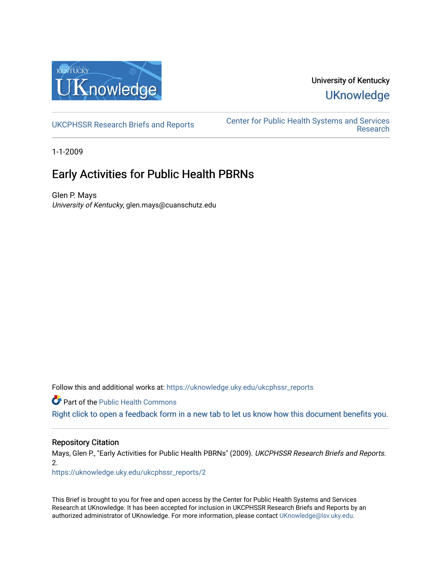

## University of Kentucky **UKnowledge**

[UKCPHSSR Research Briefs and Reports](https://uknowledge.uky.edu/ukcphssr_reports) [Center for Public Health Systems and Services](https://uknowledge.uky.edu/ukcphssr)  [Research](https://uknowledge.uky.edu/ukcphssr) 

1-1-2009

## Early Activities for Public Health PBRNs

Glen P. Mays University of Kentucky, glen.mays@cuanschutz.edu

Follow this and additional works at: [https://uknowledge.uky.edu/ukcphssr\\_reports](https://uknowledge.uky.edu/ukcphssr_reports?utm_source=uknowledge.uky.edu%2Fukcphssr_reports%2F2&utm_medium=PDF&utm_campaign=PDFCoverPages)

Part of the [Public Health Commons](http://network.bepress.com/hgg/discipline/738?utm_source=uknowledge.uky.edu%2Fukcphssr_reports%2F2&utm_medium=PDF&utm_campaign=PDFCoverPages) 

[Right click to open a feedback form in a new tab to let us know how this document benefits you.](https://uky.az1.qualtrics.com/jfe/form/SV_9mq8fx2GnONRfz7)

## Repository Citation

Mays, Glen P., "Early Activities for Public Health PBRNs" (2009). UKCPHSSR Research Briefs and Reports. 2.

[https://uknowledge.uky.edu/ukcphssr\\_reports/2](https://uknowledge.uky.edu/ukcphssr_reports/2?utm_source=uknowledge.uky.edu%2Fukcphssr_reports%2F2&utm_medium=PDF&utm_campaign=PDFCoverPages)

This Brief is brought to you for free and open access by the Center for Public Health Systems and Services Research at UKnowledge. It has been accepted for inclusion in UKCPHSSR Research Briefs and Reports by an authorized administrator of UKnowledge. For more information, please contact [UKnowledge@lsv.uky.edu](mailto:UKnowledge@lsv.uky.edu).